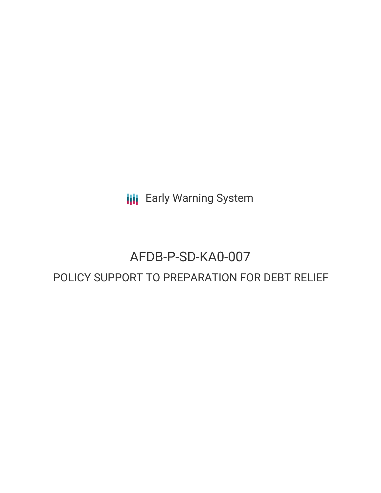**III** Early Warning System

# AFDB-P-SD-KA0-007

## POLICY SUPPORT TO PREPARATION FOR DEBT RELIEF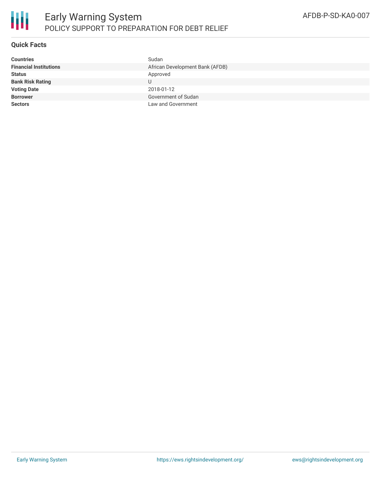

#### **Quick Facts**

| <b>Countries</b>              | Sudan                           |
|-------------------------------|---------------------------------|
| <b>Financial Institutions</b> | African Development Bank (AFDB) |
| <b>Status</b>                 | Approved                        |
| <b>Bank Risk Rating</b>       |                                 |
| <b>Voting Date</b>            | 2018-01-12                      |
| <b>Borrower</b>               | Government of Sudan             |
| <b>Sectors</b>                | Law and Government              |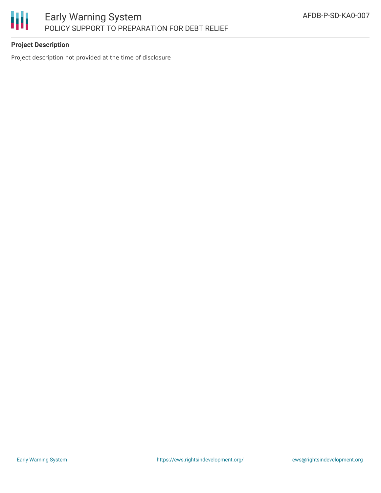

### **Project Description**

Project description not provided at the time of disclosure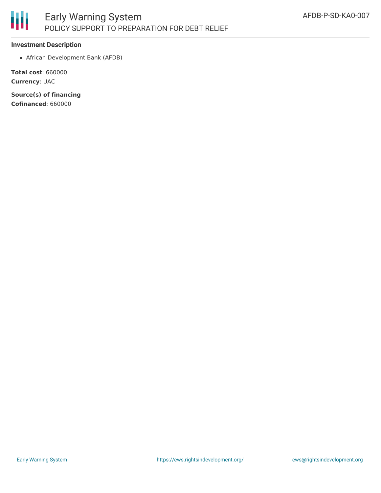

#### **Investment Description**

African Development Bank (AFDB)

**Total cost**: 660000 **Currency**: UAC

**Source(s) of financing Cofinanced**: 660000